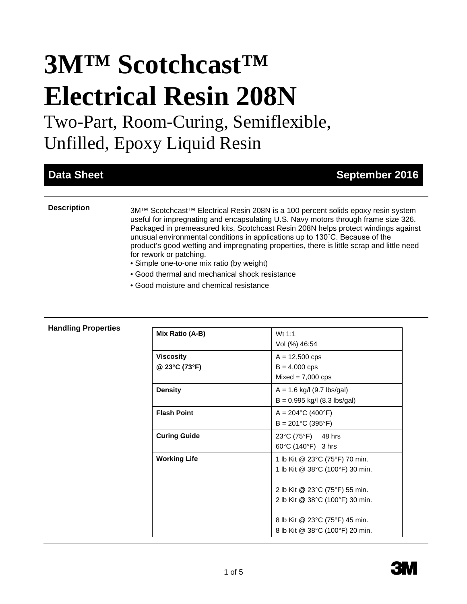# **3M™ Scotchcast™ Electrical Resin 208N**

Two-Part, Room-Curing, Semiflexible, Unfilled, Epoxy Liquid Resin

# **Data Sheet September 2016**

**Description** 3M™ Scotchcast<sup>™</sup> Electrical Resin 208N is a 100 percent solids epoxy resin system useful for impregnating and encapsulating U.S. Navy motors through frame size 326. Packaged in premeasured kits, Scotchcast Resin 208N helps protect windings against unusual environmental conditions in applications up to 130˚C. Because of the product's good wetting and impregnating properties, there is little scrap and little need for rework or patching.

- Simple one-to-one mix ratio (by weight)
- Good thermal and mechanical shock resistance
- Good moisture and chemical resistance

| Mix Ratio (A-B)                   | Wt $1:1$<br>Vol (%) 46:54                                         |
|-----------------------------------|-------------------------------------------------------------------|
| <b>Viscosity</b><br>@ 23°C (73°F) | $A = 12,500$ cps<br>$B = 4,000$ cps<br>$Mixed = 7,000$ cps        |
| <b>Density</b>                    | $A = 1.6$ kg/l (9.7 lbs/gal)<br>$B = 0.995$ kg/l (8.3 lbs/gal)    |
| <b>Flash Point</b>                | $A = 204$ °C (400°F)<br>$B = 201^{\circ}C(395^{\circ}F)$          |
| <b>Curing Guide</b>               | 23°C (75°F) 48 hrs<br>60°C (140°F) 3 hrs                          |
| <b>Working Life</b>               | 1 lb Kit @ 23°C (75°F) 70 min.<br>1 lb Kit @ 38°C (100°F) 30 min. |
|                                   | 2 lb Kit @ 23°C (75°F) 55 min.<br>2 lb Kit @ 38°C (100°F) 30 min. |
|                                   | 8 lb Kit @ 23°C (75°F) 45 min.<br>8 lb Kit @ 38°C (100°F) 20 min. |

## **Handling Properties**

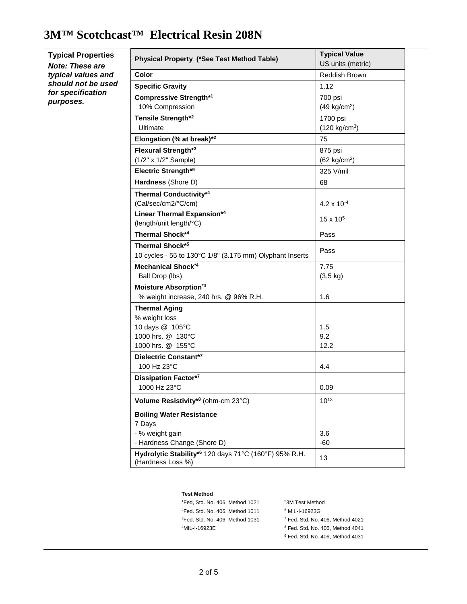# **3M™ Scotchcast™ Electrical Resin 208N**

| <b>Typical Properties</b><br><b>Note: These are</b> | Physical Property (*See Test Method Table)                                 | <b>Typical Value</b><br>US units (metric) |
|-----------------------------------------------------|----------------------------------------------------------------------------|-------------------------------------------|
| typical values and                                  | Color                                                                      | Reddish Brown                             |
| should not be used                                  | <b>Specific Gravity</b>                                                    | 1.12                                      |
| for specification                                   | Compressive Strength*1                                                     | 700 psi                                   |
| purposes.                                           | 10% Compression                                                            | $(49 \text{ kg/cm}^2)$                    |
|                                                     | Tensile Strength*2                                                         | 1700 psi                                  |
|                                                     | Ultimate                                                                   | $(120 \text{ kg/cm}^3)$                   |
|                                                     | Elongation (% at break)* <sup>2</sup>                                      | 75                                        |
|                                                     | Flexural Strength*3                                                        | 875 psi                                   |
|                                                     | (1/2" x 1/2" Sample)                                                       | (62 kg/cm <sup>2</sup> )                  |
|                                                     | Electric Strength*9                                                        | 325 V/mil                                 |
|                                                     | Hardness (Shore D)                                                         | 68                                        |
|                                                     | <b>Thermal Conductivity*4</b>                                              |                                           |
|                                                     | (Cal/sec/cm2/°C/cm)                                                        | 4.2 x 10 $4$                              |
|                                                     | <b>Linear Thermal Expansion*4</b>                                          |                                           |
|                                                     | (length/unit length/°C)                                                    | $15 \times 10^{5}$                        |
|                                                     | Thermal Shock*4                                                            | Pass                                      |
|                                                     | Thermal Shock*5                                                            | Pass                                      |
|                                                     | 10 cycles - 55 to 130°C 1/8" (3.175 mm) Olyphant Inserts                   |                                           |
|                                                     | <b>Mechanical Shock*4</b>                                                  | 7.75                                      |
|                                                     | Ball Drop (lbs)                                                            | $(3, 5 \text{ kg})$                       |
|                                                     | Moisture Absorption*4                                                      |                                           |
|                                                     | % weight increase, 240 hrs. @ 96% R.H.                                     | 1.6                                       |
|                                                     | <b>Thermal Aging</b>                                                       |                                           |
|                                                     | % weight loss                                                              |                                           |
|                                                     | 10 days @ 105°C                                                            | 1.5                                       |
|                                                     | 1000 hrs. @ 130°C                                                          | 9.2                                       |
|                                                     | 1000 hrs. @ 155°C                                                          | 12.2                                      |
|                                                     | Dielectric Constant*7<br>100 Hz 23°C                                       | 4.4                                       |
|                                                     |                                                                            |                                           |
|                                                     | Dissipation Factor*7<br>1000 Hz 23°C                                       | 0.09                                      |
|                                                     |                                                                            |                                           |
|                                                     | Volume Resistivity*8 (ohm-cm 23°C)                                         | $10^{13}$                                 |
|                                                     | <b>Boiling Water Resistance</b>                                            |                                           |
|                                                     | 7 Days                                                                     |                                           |
|                                                     | - % weight gain                                                            | 3.6                                       |
|                                                     | - Hardness Change (Shore D)                                                | $-60$                                     |
|                                                     | Hydrolytic Stability*6 120 days 71°C (160°F) 95% R.H.<br>(Hardness Loss %) | 13                                        |

#### **Test Method**

| <sup>1</sup> Fed, Std. No. 406, Method 1021 | <sup>5</sup> 3M Test Method                 |
|---------------------------------------------|---------------------------------------------|
| $2$ Fed. Std. No. 406. Method 1011          | <sup>6</sup> MIL-I-16923G                   |
| <sup>3</sup> Fed. Std. No. 406. Method 1031 | $7$ Fed. Std. No. 406. Method 4021          |
| <sup>4</sup> MIL-I-16923E                   | <sup>8</sup> Fed. Std. No. 406. Method 4041 |
|                                             | <sup>9</sup> Fed. Std. No. 406, Method 4031 |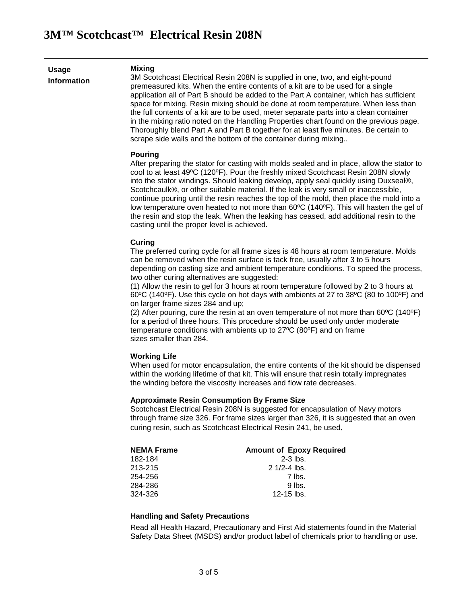**Usage Information**

**Mixing** 3M Scotchcast Electrical Resin 208N is supplied in one, two, and eight-pound premeasured kits. When the entire contents of a kit are to be used for a single application all of Part B should be added to the Part A container, which has sufficient space for mixing. Resin mixing should be done at room temperature. When less than the full contents of a kit are to be used, meter separate parts into a clean container in the mixing ratio noted on the Handling Properties chart found on the previous page. Thoroughly blend Part A and Part B together for at least five minutes. Be certain to scrape side walls and the bottom of the container during mixing..

#### **Pouring**

After preparing the stator for casting with molds sealed and in place, allow the stator to cool to at least 49ºC (120ºF). Pour the freshly mixed Scotchcast Resin 208N slowly into the stator windings. Should leaking develop, apply seal quickly using Duxseal®, Scotchcaulk®, or other suitable material. If the leak is very small or inaccessible, continue pouring until the resin reaches the top of the mold, then place the mold into a low temperature oven heated to not more than 60ºC (140ºF). This will hasten the gel of the resin and stop the leak. When the leaking has ceased, add additional resin to the casting until the proper level is achieved.

#### **Curing**

The preferred curing cycle for all frame sizes is 48 hours at room temperature. Molds can be removed when the resin surface is tack free, usually after 3 to 5 hours depending on casting size and ambient temperature conditions. To speed the process, two other curing alternatives are suggested:

(1) Allow the resin to gel for 3 hours at room temperature followed by 2 to 3 hours at 60ºC (140ºF). Use this cycle on hot days with ambients at 27 to 38ºC (80 to 100ºF) and on larger frame sizes 284 and up;

(2) After pouring, cure the resin at an oven temperature of not more than  $60^{\circ}$ C (140 $^{\circ}$ F) for a period of three hours. This procedure should be used only under moderate temperature conditions with ambients up to 27ºC (80ºF) and on frame sizes smaller than 284.

#### **Working Life**

When used for motor encapsulation, the entire contents of the kit should be dispensed within the working lifetime of that kit. This will ensure that resin totally impregnates the winding before the viscosity increases and flow rate decreases.

#### **Approximate Resin Consumption By Frame Size**

Scotchcast Electrical Resin 208N is suggested for encapsulation of Navy motors through frame size 326. For frame sizes larger than 326, it is suggested that an oven curing resin, such as Scotchcast Electrical Resin 241, be used.

| <b>NEMA Frame</b> | <b>Amount of Epoxy Required</b> |
|-------------------|---------------------------------|
| 182-184           | $2-3$ lbs.                      |
| 213-215           | $21/2 - 4$ lbs.                 |
| 254-256           | 7 lbs.                          |
| 284-286           | $9$ lbs.                        |
| 324-326           | $12 - 15$ lbs.                  |

### **Handling and Safety Precautions**

Read all Health Hazard, Precautionary and First Aid statements found in the Material Safety Data Sheet (MSDS) and/or product label of chemicals prior to handling or use.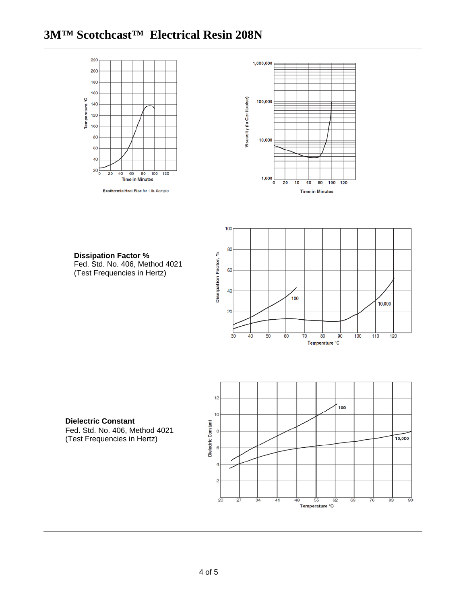# **3M™ Scotchcast™ Electrical Resin 208N**





**Dissipation Factor %** Fed. Std. No. 406, Method 4021 (Test Frequencies in Hertz)





**Dielectric Constant**

Fed. Std. No. 406, Method 4021 (Test Frequencies in Hertz)